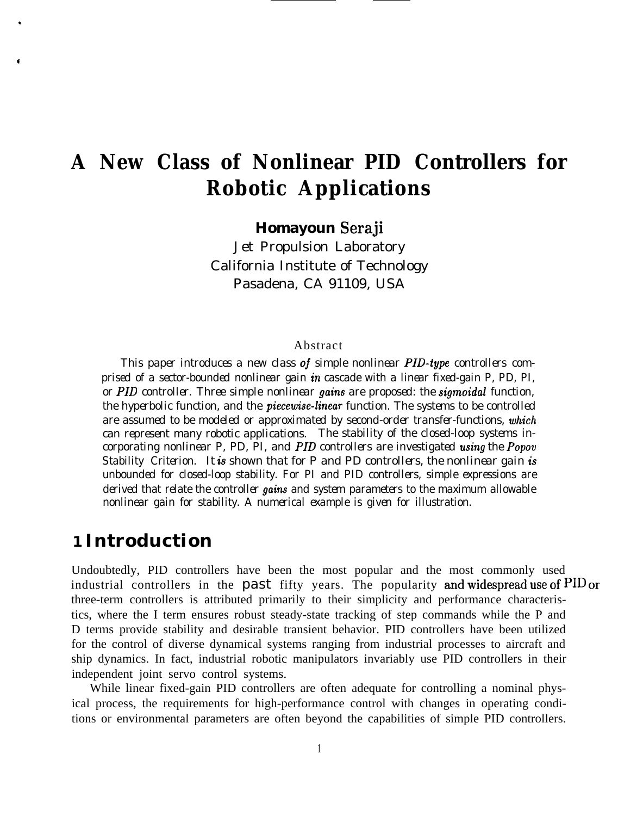# **A New Class of Nonlinear PID Controllers for Robotic Applications**

**Homayoun Seraji**

Jet Propulsion Laboratory California Institute of Technology Pasadena, CA 91109, USA

#### Abstract

*This paper introduces a new class oj simple nonlinear PID-type controllers comprised of a sector-bounded nonlinear gain in cascade with a linear fixed-gain P, PD, PI, or PID controller. Three simple nonlinear gains are proposed: the sigmoidal function, the hyperbolic function, and the piecewise-linear function. The systems to be controlled are assumed to be modeled or approximated by second-order transfer-functions, which can represent many robotic applications. The stability of the closed-loop systems incorporating nonlinear P, PD, PI, and PID controllers are investigated using the Popov Stability Criterion. It is shown that for P and PD controllers, the nonlinear gain is unbounded for closed-loop stability. For PI and PID controllers, simple expressions are derived that relate the controller gains and system parameters to the maximum allowable nonlinear gain for stability. A numerical example is given for illustration.*

# **1 Introduction**

Undoubtedly, PID controllers have been the most popular and the most commonly used industrial controllers in the past fifty years. The popularity and widespread use of  $PID$  or three-term controllers is attributed primarily to their simplicity and performance characteristics, where the I term ensures robust steady-state tracking of step commands while the P and D terms provide stability and desirable transient behavior. PID controllers have been utilized for the control of diverse dynamical systems ranging from industrial processes to aircraft and ship dynamics. In fact, industrial robotic manipulators invariably use PID controllers in their independent joint servo control systems.

While linear fixed-gain PID controllers are often adequate for controlling a nominal physical process, the requirements for high-performance control with changes in operating conditions or environmental parameters are often beyond the capabilities of simple PID controllers.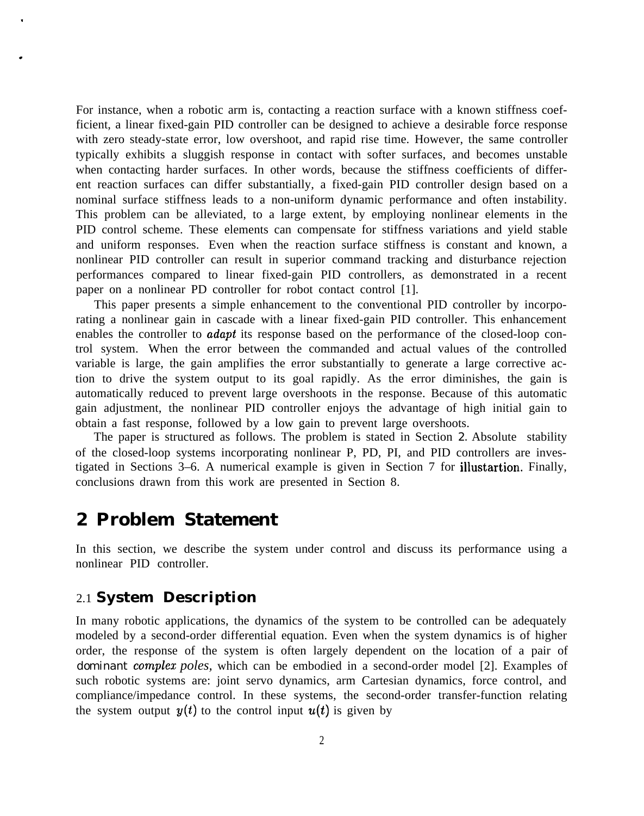For instance, when a robotic arm is, contacting a reaction surface with a known stiffness coefficient, a linear fixed-gain PID controller can be designed to achieve a desirable force response with zero steady-state error, low overshoot, and rapid rise time. However, the same controller typically exhibits a sluggish response in contact with softer surfaces, and becomes unstable when contacting harder surfaces. In other words, because the stiffness coefficients of different reaction surfaces can differ substantially, a fixed-gain PID controller design based on a nominal surface stiffness leads to a non-uniform dynamic performance and often instability. This problem can be alleviated, to a large extent, by employing nonlinear elements in the PID control scheme. These elements can compensate for stiffness variations and yield stable and uniform responses. Even when the reaction surface stiffness is constant and known, a nonlinear PID controller can result in superior command tracking and disturbance rejection performances compared to linear fixed-gain PID controllers, as demonstrated in a recent paper on a nonlinear PD controller for robot contact control [1].

This paper presents a simple enhancement to the conventional PID controller by incorporating a nonlinear gain in cascade with a linear fixed-gain PID controller. This enhancement enables the controller to *adapt* its response based on the performance of the closed-loop control system. When the error between the commanded and actual values of the controlled variable is large, the gain amplifies the error substantially to generate a large corrective action to drive the system output to its goal rapidly. As the error diminishes, the gain is automatically reduced to prevent large overshoots in the response. Because of this automatic gain adjustment, the nonlinear PID controller enjoys the advantage of high initial gain to obtain a fast response, followed by a low gain to prevent large overshoots.

The paper is structured as follows. The problem is stated in Section *2.* Absolute stability of the closed-loop systems incorporating nonlinear P, PD, PI, and PID controllers are investigated in Sections 3–6. A numerical example is given in Section 7 for illustartion. Finally, conclusions drawn from this work are presented in Section 8.

## **2 Problem Statement**

.

In this section, we describe the system under control and discuss its performance using a nonlinear PID controller.

#### 2.1 **System Description**

In many robotic applications, the dynamics of the system to be controlled can be adequately modeled by a second-order differential equation. Even when the system dynamics is of higher order, the response of the system is often largely dependent on the location of a pair of *dominant complez poles,* which can be embodied in a second-order model [2]. Examples of such robotic systems are: joint servo dynamics, arm Cartesian dynamics, force control, and compliance/impedance control. In these systems, the second-order transfer-function relating the system output  $y(t)$  to the control input  $u(t)$  is given by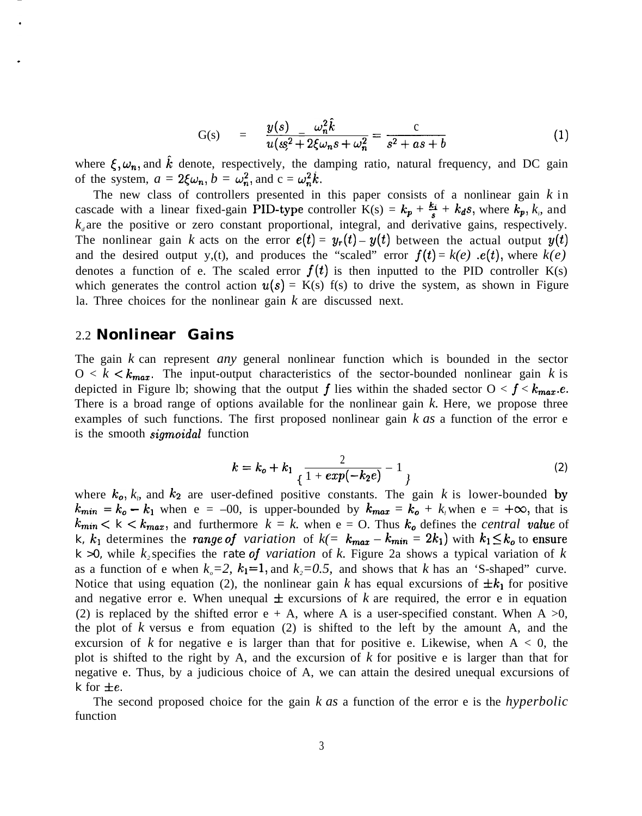G(s) = 
$$
\frac{y(s)}{u(s^2 + 2\xi\omega_n s + \omega_n^2} = \frac{c}{s^2 + as + b}
$$
 (1)

where  $\xi, \omega_n$ , and k denote, respectively, the damping ratio, natural frequency, and DC gain of the system,  $a = 2\xi \omega_n$ ,  $b = \omega_n^2$ , and  $c = \omega_n^2 k$ .

The new class of controllers presented in this paper consists of a nonlinear gain *k* in cascade with a linear fixed-gain PID-type controller  $K(s) = k_p + \frac{k_i}{s} + k_d s$ , where  $k_p, k_s$  and  $k<sub>d</sub>$  are the positive or zero constant proportional, integral, and derivative gains, respectively. The nonlinear gain *k* acts on the error  $e(t) = y_r(t) - y(t)$  between the actual output  $y(t)$ and the desired output y,(t), and produces the "scaled" error  $f(t) = k(e)$  *.e(t)*, where  $k(e)$ denotes a function of e. The scaled error  $f(t)$  is then inputted to the PID controller K(s) which generates the control action  $u(s) = K(s)$  f(s) to drive the system, as shown in Figure la. Three choices for the nonlinear gain *k* are discussed next.

#### 2.2 **Nonlinear Gains**

The gain *k* can represent *any* general nonlinear function which is bounded in the sector  $0 < k < k_{max}$ . The input-output characteristics of the sector-bounded nonlinear gain *k* is depicted in Figure 1b; showing that the output f lies within the shaded sector  $0 < f < k_{max}.e$ . There is a broad range of options available for the nonlinear gain *k.* Here, we propose three examples of such functions. The first proposed nonlinear gain *k as* a function of the error e is the smooth *sigmoidal* function

$$
k = k_o + k_1 \frac{2}{\sqrt{1 + exp(-k_2 e)}} - 1 \tag{2}
$$

where  $k_0$ ,  $k_p$  and  $k_2$  are user-defined positive constants. The gain k is lower-bounded by  $k_{min} = k_o - k_1$  when  $e = -00$ , is upper-bounded by  $k_{max} = k_o + k_i$  when  $e = +\infty$ , that is  $k_{min} < k < k_{max}$ , and furthermore  $k = k$ . when  $e = 0$ . Thus  $k_o$  defines the *central value* of *k, k<sub>l</sub>* determines the *range* of *variation* of  $k(= k_{max} - k_{min} = 2k_1)$  with  $k_1 \le k_0$  to ensure  $k > 0$ , while *k*<sub>2</sub> specifies the *rate of variation* of *k*. Figure 2a shows a typical variation of *k* as a function of e when  $k<sub>a</sub>=2$ ,  $k<sub>1</sub>=1$ , and  $k<sub>z</sub>=0.5$ , and shows that *k* has an 'S-shaped" curve. Notice that using equation (2), the nonlinear gain k has equal excursions of  $\pm k_1$  for positive and negative error e. When unequal  $\pm$  excursions of k are required, the error e in equation (2) is replaced by the shifted error  $e + A$ , where A is a user-specified constant. When A  $>0$ , the plot of *k* versus e from equation (2) is shifted to the left by the amount A, and the excursion of  $k$  for negative e is larger than that for positive e. Likewise, when  $A < 0$ , the plot is shifted to the right by A, and the excursion of *k* for positive e is larger than that for negative e. Thus, by a judicious choice of A, we can attain the desired unequal excursions of *k* for  $\pm e$ .

The second proposed choice for the gain *k as* a function of the error e is the *hyperbolic* function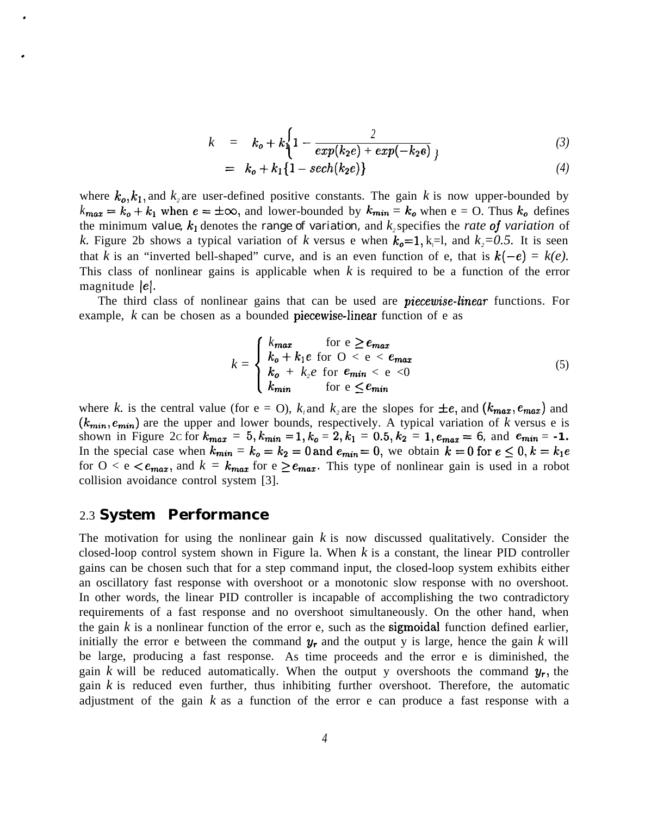$$
k = k_0 + k \left\{ 1 - \frac{2}{exp(k_2 e) + exp(-k_2 e)} \right\}
$$
 (3)

$$
= k_o + k_1 \{1 - sech(k_2 e)\}\tag{4}
$$

where  $k_0, k_1$ , and  $k_2$  are user-defined positive constants. The gain k is now upper-bounded by  $k_{max} = k_o + k_1$  when  $e = \pm \infty$ , and lower-bounded by  $k_{min} = k_o$  when  $e = 0$ . Thus  $k_o$  defines the minimum *value,*  $k_1$  denotes the *range of variation*, and  $k_2$  specifies the *rate of variation* of *k*. Figure 2b shows a typical variation of *k* versus e when  $k_0=1$ , k<sub>i</sub>=l, and  $k_2=0.5$ . It is seen that *k* is an "inverted bell-shaped" curve, and is an even function of e, that is  $k(-e) = k(e)$ . This class of nonlinear gains is applicable when *k* is required to be a function of the error magnitude |e|.

The third class of nonlinear gains that can be used are *piecewise-linear* functions. For example, *k* can be chosen as a bounded **piecewise-linear** function of e as

$$
k = \begin{cases} k_{max} & \text{for } e \ge e_{max} \\ k_o + k_1 e \text{ for } O < e < e_{max} \\ k_o + k_2 e \text{ for } e_{min} < e < 0 \\ k_{min} & \text{for } e \le e_{min} \end{cases} \tag{5}
$$

where *k*. is the central value (for e = O),  $k_i$  and  $k_2$  are the slopes for  $\pm e$ , and  $(k_{max}, e_{max})$  and  $(k_{min}, e_{min})$  are the upper and lower bounds, respectively. A typical variation of *k* versus e is shown in Figure 2c for  $k_{max} = 5, k_{min} = 1, k_0 = 2, k_1 = 0.5, k_2 = 1, e_{max} = 6$ , and  $e_{min} = -1$ . In the special case when  $k_{min} = k_o = k_2 = 0$  and  $e_{min} = 0$ , we obtain  $k = 0$  for  $e \leq 0$ ,  $k = k_1 e$ for  $0 < e < e_{max}$ , and  $k = k_{max}$  for  $e \ge e_{max}$ . This type of nonlinear gain is used in a robot collision avoidance control system [3].

#### 2.3 **System Performance**

.

.

The motivation for using the nonlinear gain *k* is now discussed qualitatively. Consider the closed-loop control system shown in Figure la. When *k* is a constant, the linear PID controller gains can be chosen such that for a step command input, the closed-loop system exhibits either an oscillatory fast response with overshoot or a monotonic slow response with no overshoot. In other words, the linear PID controller is incapable of accomplishing the two contradictory requirements of a fast response and no overshoot simultaneously. On the other hand, when the gain  $k$  is a nonlinear function of the error  $e$ , such as the **sigmoidal** function defined earlier, initially the error e between the command  $y_r$  and the output y is large, hence the gain k will be large, producing a fast response. As time proceeds and the error e is diminished, the gain *k* will be reduced automatically. When the output y overshoots the command  $y_r$ , the gain *k* is reduced even further, thus inhibiting further overshoot. Therefore, the automatic adjustment of the gain *k* as a function of the error e can produce a fast response with a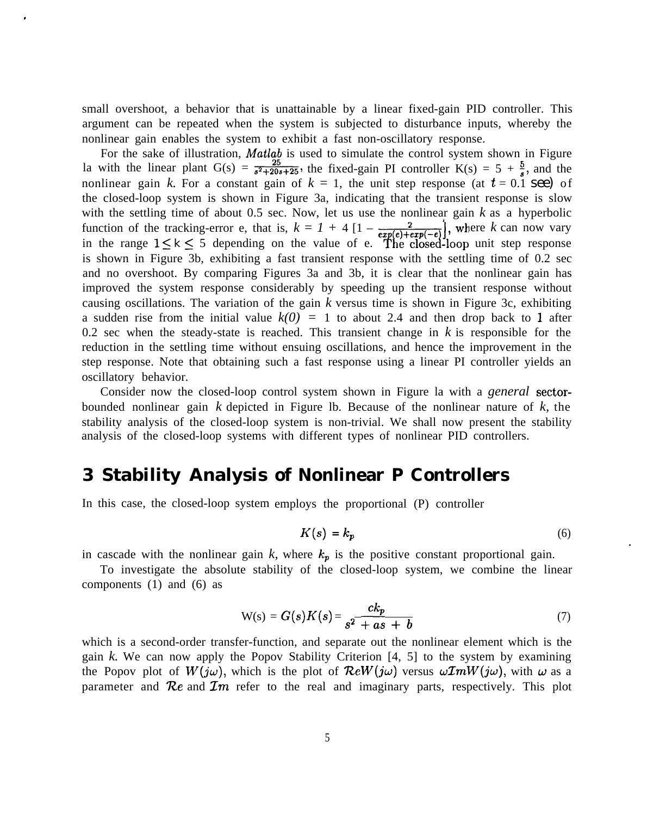small overshoot, a behavior that is unattainable by a linear fixed-gain PID controller. This argument can be repeated when the system is subjected to disturbance inputs, whereby the nonlinear gain enables the system to exhibit a fast non-oscillatory response.

For the sake of illustration, Matlab is used to simulate the control system shown in Figure la with the linear plant G(s) =  $\frac{25}{s^2+20s+25}$ , the fixed-gain PI controller K(s) = 5 +  $\frac{5}{s}$ , and the nonlinear gain *k*. For a constant gain of  $k = 1$ , the unit step response (at  $t = 0.1$  see) of the closed-loop system is shown in Figure 3a, indicating that the transient response is slow with the settling time of about 0.5 sec. Now, let us use the nonlinear gain *k* as a hyperbolic function of the tracking-error e, that is,  $k = 1 + 4 \left[1 - \frac{2}{exp(e) + exp(-e)}\right]$ , where *k* can now vary in the range  $1 \leq k \leq 5$  depending on the value of e. The closed-loop unit step response is shown in Figure 3b, exhibiting a fast transient response with the settling time of 0.2 sec and no overshoot. By comparing Figures 3a and 3b, it is clear that the nonlinear gain has improved the system response considerably by speeding up the transient response without causing oscillations. The variation of the gain *k* versus time is shown in Figure 3c, exhibiting a sudden rise from the initial value  $k(0) = 1$  to about 2.4 and then drop back to 1 after 0.2 sec when the steady-state is reached. This transient change in *k* is responsible for the reduction in the settling time without ensuing oscillations, and hence the improvement in the step response. Note that obtaining such a fast response using a linear PI controller yields an oscillatory behavior.

Consider now the closed-loop control system shown in Figure la with a *general* sectorbounded nonlinear gain *k* depicted in Figure lb. Because of the nonlinear nature of *k,* the stability analysis of the closed-loop system is non-trivial. We shall now present the stability analysis of the closed-loop systems with different types of nonlinear PID controllers.

# **3 Stability Analysis of Nonlinear P Controllers**

In this case, the closed-loop system employs the proportional (P) controller

$$
K(s) = k_p \tag{6}
$$

in cascade with the nonlinear gain  $k$ , where  $k_p$  is the positive constant proportional gain.

To investigate the absolute stability of the closed-loop system, we combine the linear components (1) and (6) as

$$
W(s) = G(s)K(s) = \frac{ck_p}{s^2 + as + b}
$$
\n<sup>(7)</sup>

which is a second-order transfer-function, and separate out the nonlinear element which is the gain *k.* We can now apply the Popov Stability Criterion [4, 5] to the system by examining the Popov plot of  $W(j\omega)$ , which is the plot of  $\mathcal{R}eW(j\omega)$  versus  $\omega \mathcal{I}mW(j\omega)$ , with  $\omega$  as a parameter and  $\mathcal{R}e$  and  $\mathcal{I}m$  refer to the real and imaginary parts, respectively. This plot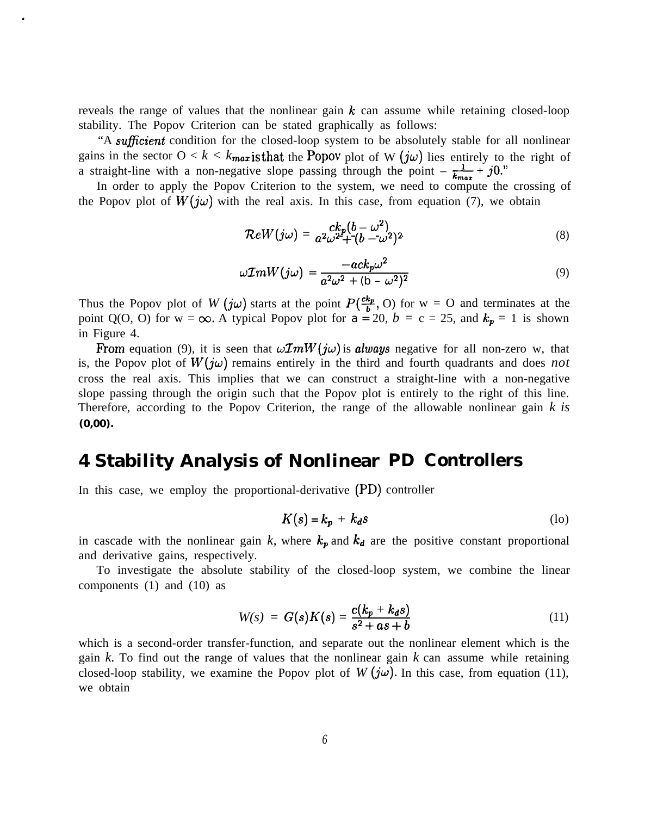reveals the range of values that the nonlinear gain  $k$  can assume while retaining closed-loop stability. The Popov Criterion can be stated graphically as follows:

"A *suficient* condition for the closed-loop system to be absolutely stable for all nonlinear gains in the sector  $0 < k < k_{max}$  is that the Popov plot of W  $(j\omega)$  lies entirely to the right of a straight-line with a non-negative slope passing through the point  $-\frac{1}{k_{max}} + j0$ ."

In order to apply the Popov Criterion to the system, we need to compute the crossing of the Popov plot of  $W(j\omega)$  with the real axis. In this case, from equation (7), we obtain

$$
\mathcal{R}eW(j\omega) = \, a^2 \omega^2 + (b - \omega^2)^2 \tag{8}
$$

$$
\omega \mathcal{I}mW(j\omega) = \frac{-ack_p\omega^2}{a^2\omega^2 + (b - \omega^2)^2}
$$
\n(9)

Thus the Popov plot of *W* (*jw*) starts at the point  $P(\frac{ck_p}{b}, O)$  for point Q(O, O) for  $w = \infty$ . A typical Popov plot for  $a = 20$ ,  $b = \infty$ in Figure 4.  $w = O$  and terminates at the  $c = 25$ , and  $k_p = 1$  is shown

From equation (9), it is seen that  $\omega \mathcal{I}mW(j\omega)$  is *always* negative for all non-zero w, that is, the Popov plot of  $W(j\omega)$  remains entirely in the third and fourth quadrants and does *not* cross the real axis. This implies that we can construct a straight-line with a non-negative slope passing through the origin such that the Popov plot is entirely to the right of this line. Therefore, according to the Popov Criterion, the range of the allowable nonlinear gain *k is* **(0,00).**

# **4 Stability Analysis of Nonlinear PD Controllers**

In this case, we employ the proportional-derivative (PD) controller

$$
K(s) = k_p + k_d s \tag{10}
$$

in cascade with the nonlinear gain  $k$ , where  $k_p$  and  $k_d$  are the positive constant proportional and derivative gains, respectively.

To investigate the absolute stability of the closed-loop system, we combine the linear components (1) and (10) as

$$
W(s) = G(s)K(s) = \frac{c(k_p + k_d s)}{s^2 + as + b}
$$
 (11)

which is a second-order transfer-function, and separate out the nonlinear element which is the gain *k.* To find out the range of values that the nonlinear gain *k* can assume while retaining closed-loop stability, we examine the Popov plot of  $W(j\omega)$ . In this case, from equation (11), we obtain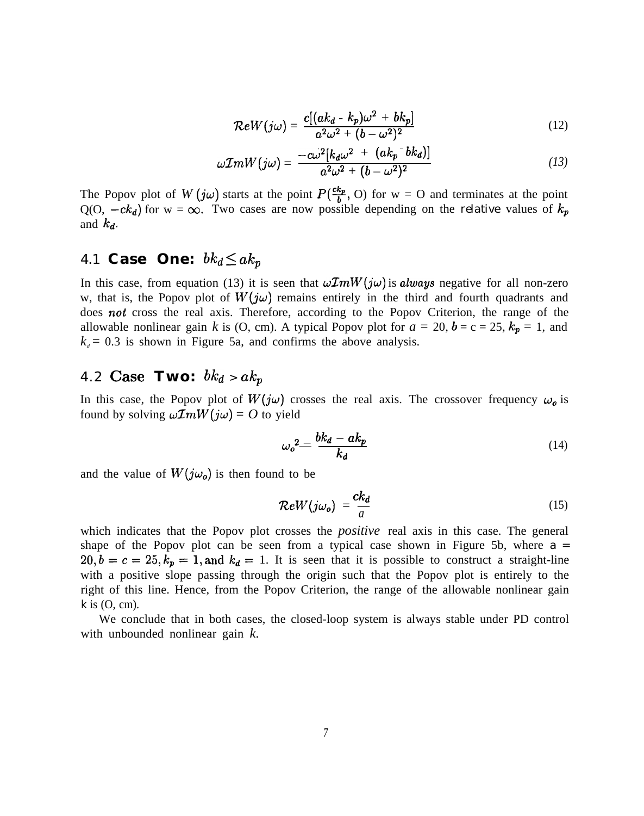$$
\mathcal{R}eW(j\omega) = \frac{c[(ak_d - k_p)\omega^2 + bk_p]}{a^2\omega^2 + (b - \omega^2)^2}
$$
\n(12)

$$
\omega \mathcal{I}mW(j\omega) = \frac{-c\omega^2[k_d\omega^2 + (ak_p^-bk_d)]}{a^2\omega^2 + (b-\omega^2)^2}
$$
 (13)

The Popov plot of  $W(j\omega)$  starts at the point  $P(\frac{ck_p}{b}, O)$  for  $w = O$  and terminates at the point  $Q(0, -ck_d)$  for  $w = \infty$ . Two cases are now possible depending on the *relative* values of  $k_p$ and *kd.*

### 4.1 **Case One:**  $bk_d \leq ak_p$

In this case, from equation (13) it is seen that  $\omega \mathcal{I}mW(j\omega)$  is *always* negative for all non-zero w, that is, the Popov plot of  $W(j\omega)$  remains entirely in the third and fourth quadrants and does not cross the real axis. Therefore, according to the Popov Criterion, the range of the allowable nonlinear gain *k* is (O, cm). A typical Popov plot for  $a = 20$ ,  $b = c = 25$ ,  $k_p = 1$ , and  $k_d$  = 0.3 is shown in Figure 5a, and confirms the above analysis.

# 4.2 Case Two:  $bk_d > ak_p$

In this case, the Popov plot of  $W(j\omega)$  crosses the real axis. The crossover frequency  $\omega_o$  is found by solving  $\omega \mathcal{I}mW(j\omega) = O$  to yield

$$
\omega_o^2 = \frac{bk_d - ak_p}{k_d} \tag{14}
$$

and the value of  $W(j\omega_o)$  is then found to be

$$
\mathcal{R}eW(j\omega_o) = \frac{ck_d}{a} \tag{15}
$$

which indicates that the Popov plot crosses the *positive* real axis in this case. The general shape of the Popov plot can be seen from a typical case shown in Figure 5b, where *a =*  $20, b=c=25, k_p=1,$  and  $k_d=1$ . It is seen that it is possible to construct a straight-line with a positive slope passing through the origin such that the Popov plot is entirely to the right of this line. Hence, from the Popov Criterion, the range of the allowable nonlinear gain *k* is (O, cm).

We conclude that in both cases, the closed-loop system is always stable under PD control with unbounded nonlinear gain *k.*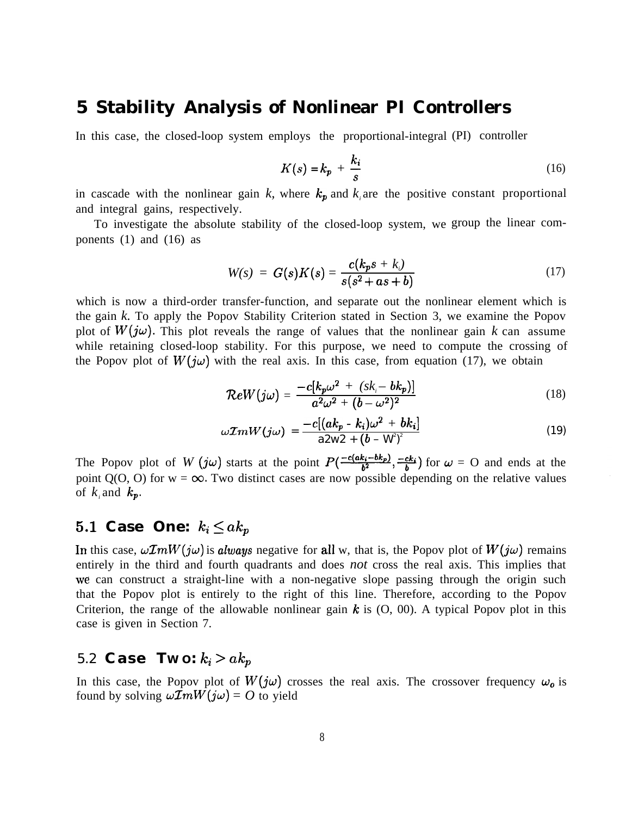# **5 Stability Analysis of Nonlinear PI Controllers**

In this case, the closed-loop system employs the proportional-integral (PI) controller

$$
K(s) = k_p + \frac{k_i}{s} \tag{16}
$$

in cascade with the nonlinear gain  $k$ , where  $k_p$  and  $k_i$  are the positive constant proportional and integral gains, respectively.

To investigate the absolute stability of the closed-loop system, we group the linear com ponents  $(1)$  and  $(16)$  as

$$
W(s) = G(s)K(s) = \frac{c(k_ps + k_i)}{s(s^2 + as + b)}
$$
(17)

which is now a third-order transfer-function, and separate out the nonlinear element which is the gain *k.* To apply the Popov Stability Criterion stated in Section 3, we examine the Popov plot of  $W(j\omega)$ . This plot reveals the range of values that the nonlinear gain k can assume while retaining closed-loop stability. For this purpose, we need to compute the crossing of the Popov plot of  $W(j\omega)$  with the real axis. In this case, from equation (17), we obtain

$$
\mathcal{R}eW(j\omega) = \frac{-c[k_p\omega^2 + (sk_i - bk_p)]}{a^2\omega^2 + (b - \omega^2)^2}
$$
(18)

$$
\omega \mathcal{I}mW(j\omega) = \frac{-c[(ak_p - k_i)\omega^2 + bk_i]}{a2w^2 + (b - W)^2}
$$
 (19)

The Popov plot of *W* (jw) starts at the point  $P(\frac{-c(a k_i - b k_p)}{b^2}, \frac{-c k_i}{b})$  for  $\omega = 0$  and ends at the point  $Q(0, 0)$  for  $w = \infty$ . Two distinct cases are now possible depending on the relative values of  $k_i$  and  $k_p$ .

## 5.1 Case One:  $k_i \leq a k_p$

In this case,  $\omega \mathcal{I}mW(j\omega)$  is *always* negative for all w, that is, the Popov plot of  $W(j\omega)$  remains entirely in the third and fourth quadrants and does *not* cross the real axis. This implies that we can construct a straight-line with a non-negative slope passing through the origin such that the Popov plot is entirely to the right of this line. Therefore, according to the Popov Criterion, the range of the allowable nonlinear gain  $k$  is  $(0, 00)$ . A typical Popov plot in this case is given in Section 7.

## 5.2 **Case** Two:  $k_i > ak_p$

In this case, the Popov plot of  $W(j\omega)$  crosses the real axis. The crossover frequency  $\omega_0$  is found by solving  $\omega \mathcal{I}mW(j\omega) = O$  to yield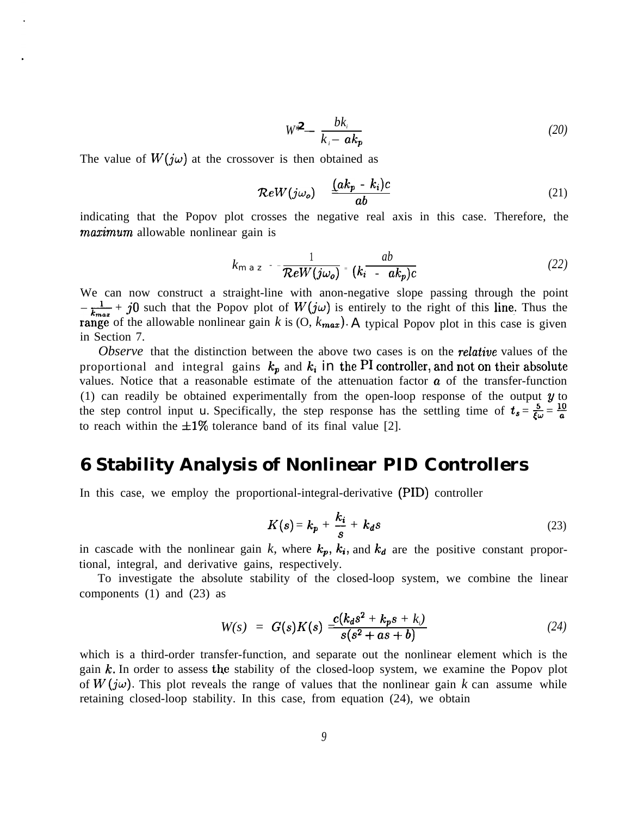$$
W^2 = \frac{bk_i}{k_i - ak_p} \tag{20}
$$

The value of  $W(j\omega)$  at the crossover is then obtained as

$$
\mathcal{R}eW(j\omega_o) = \frac{(ak_p - k_i)c}{ab} \tag{21}
$$

indicating that the Popov plot crosses the negative real axis in this case. Therefore, the *mazimum* allowable nonlinear gain is

$$
k_{m\,a\,z} - \frac{1}{\mathcal{R}eW(j\omega_o)} = (k_i - ak_p)c \tag{22}
$$

We can now construct a straight-line with anon-negative slope passing through the point  $-\frac{1}{k_{max}} + j0$  such that the Popov plot of  $W(j\omega)$  is entirely to the right of this line. Thus the range of the allowable nonlinear gain  $k$  is  $(0, k_{max})$ . A typical Popov plot in this case is given in Section 7.

*Observe* that the distinction between the above two cases is on the *relative* values of the proportional and integral gains  $k_p$  and  $k_i$  in the PI controller, and not on their absolute values. Notice that a reasonable estimate of the attenuation factor  $\boldsymbol{a}$  of the transfer-function (1) can readily be obtained experimentally from the open-loop response of the output  $y$  to the step control input *u*. Specifically, the step response has the settling time of  $t_s = \frac{5}{6\omega} = \frac{10}{a}$ to reach within the  $\pm 1\%$  tolerance band of its final value [2].

# **6 Stability Analysis of Nonlinear PID Controllers**

In this case, we employ the proportional-integral-derivative (PID) controller

$$
K(s) = k_p + \frac{k_i}{s} + k_d s \tag{23}
$$

in cascade with the nonlinear gain *k*, where  $k_p$ ,  $k_i$ , and  $k_d$  are the positive constant proportional, integral, and derivative gains, respectively.

To investigate the absolute stability of the closed-loop system, we combine the linear components (1) and (23) as

$$
W(s) = G(s)K(s) = \frac{c(k_d s^2 + k_p s + k_i)}{s(s^2 + as + b)}
$$
(24)

which is a third-order transfer-function, and separate out the nonlinear element which is the gain  $k$ . In order to assess the stability of the closed-loop system, we examine the Popov plot of  $W(j\omega)$ . This plot reveals the range of values that the nonlinear gain k can assume while retaining closed-loop stability. In this case, from equation (24), we obtain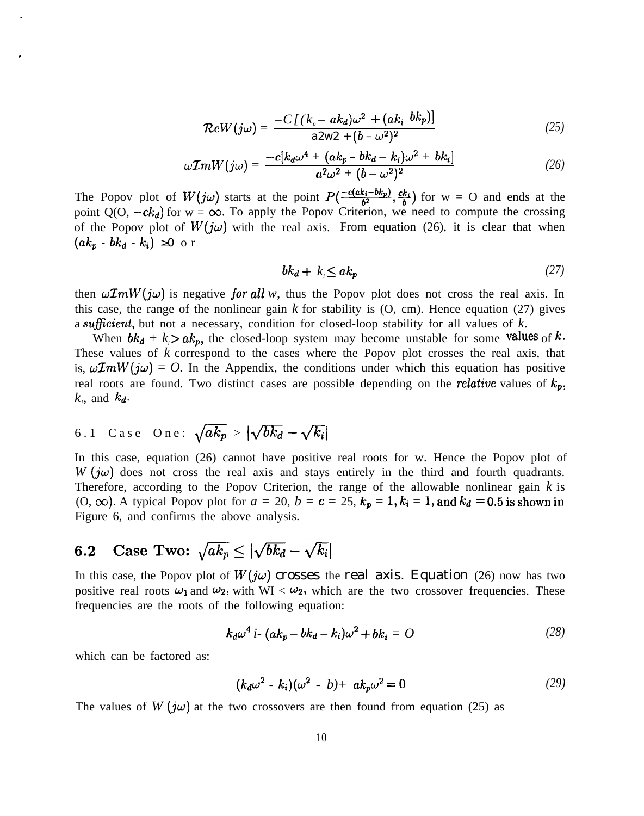$$
\mathcal{R}eW(j\omega) = \frac{-C\left[(k_p - ak_d)\omega^2 + (ak_i^{-}bk_p)\right]}{a2w^2 + (b - \omega^2)^2} \tag{25}
$$

$$
\omega \mathcal{I}mW(j\omega) = \frac{-c[k_d\omega^4 + (ak_p - bk_d - k_i)\omega^2 + bk_i]}{a^2\omega^2 + (b - \omega^2)^2}
$$
 (26)

The Popov plot of  $W(j\omega)$  starts at the point  $P(\frac{-c(a k_i - b k_p)}{b^2}, \frac{c k_i}{b})$  for w = O and ends at the point  $Q(O, -ck_d)$  for  $w = \infty$ . To apply the Popov Criterion, we need to compute the crossing of the Popov plot of  $W(j\omega)$  with the real axis. From equation (26), it is clear that when  $(ak_p - bk_d - k_i) \geq 0$  or

$$
bk_d + k_i \le ak_p \tag{27}
$$

then  $\omega \mathcal{I}mW(j\omega)$  is negative for all w, thus the Popov plot does not cross the real axis. In this case, the range of the nonlinear gain *k* for stability is (O, cm). Hence equation (27) gives a suficient, but not a necessary, condition for closed-loop stability for all values of *k.*

When  $bk_d + k_i > ak_p$ , the closed-loop system may become unstable for some values of k. These values of *k* correspond to the cases where the Popov plot crosses the real axis, that is,  $\omega \mathcal{I}mW(j\omega) = O$ . In the Appendix, the conditions under which this equation has positive real roots are found. Two distinct cases are possible depending on the *relative* values of  $k_p$ ,  $k_i$ , and  $k_d$ .

# 6.1 Case One:  $\sqrt{ak_p} > |\sqrt{bk_d} - \sqrt{k_i}|$

In this case, equation (26) cannot have positive real roots for w. Hence the Popov plot of  $W(j\omega)$  does not cross the real axis and stays entirely in the third and fourth quadrants. Therefore, according to the Popov Criterion, the range of the allowable nonlinear gain *k* is  $(0, \infty)$ . A typical Popov plot for  $a = 20$ ,  $b = c = 25$ ,  $k_p = 1$ ,  $k_i = 1$ , and  $k_d = 0.5$  is shown in Figure 6, and confirms the above analysis.

#### Case Two:  $\sqrt{ak_p} \le |\sqrt{bk_d} - \sqrt{k_i}|$  $6.2$

In this case, the Popov plot of  $W(j\omega)$  crosses the real axis. Equation (26) now has two positive real roots  $\omega_1$  and  $\omega_2$ , with WI <  $\omega_2$ , which are the two crossover frequencies. These frequencies are the roots of the following equation:

$$
k_d\omega^4 i \cdot (ak_p - bk_d - k_i)\omega^2 + bk_i = O \qquad (28)
$$

which can be factored as:

$$
(k_d\omega^2 - k_i)(\omega^2 - b) + ak_p\omega^2 = 0
$$
 (29)

The values of  $W(j\omega)$  at the two crossovers are then found from equation (25) as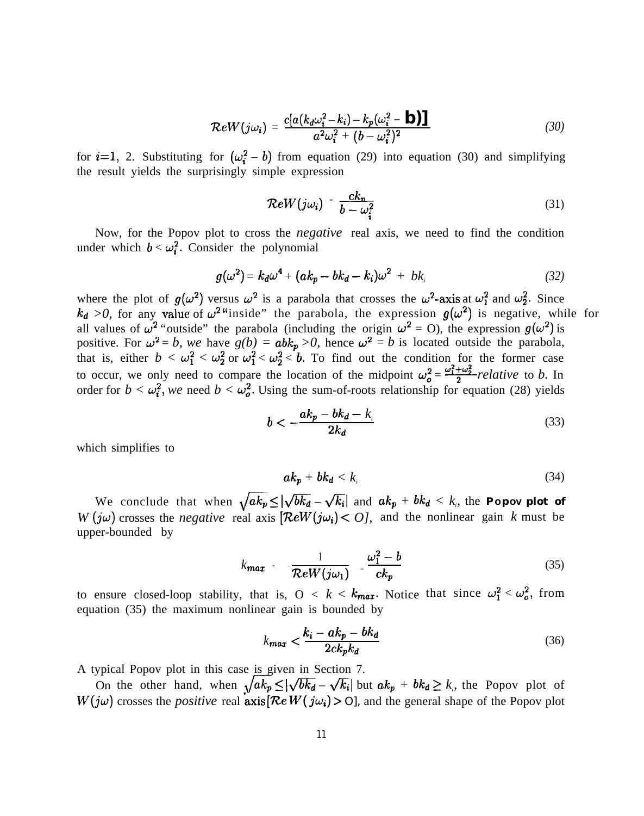$$
\mathcal{R}eW(j\omega_i) = \frac{c[a(k_d\omega_i^2 - k_i) - k_p(\omega_i^2 - \mathbf{b})]}{a^2\omega_i^2 + (b - \omega_i^2)^2}
$$
(30)

for  $i=1$ , 2. Substituting for  $(\omega_i^2 - b)$  from equation (29) into equation (30) and simplifying the result yields the surprisingly simple expression

mple expression  
\n
$$
\mathcal{R}eW(j\omega_i) = \frac{ck_n}{b - \omega_i^2}
$$
\n(31)

Now, for the Popov plot to cross the *negative* real axis, we need to find the condition under which  $b < \omega_i^2$ . Consider the polynomial

$$
g(\omega^2) = k_d \omega^4 + (ak_p - bk_d - k_i)\omega^2 + bk_i
$$
 (32)

where the plot of  $g(\omega^2)$  versus  $\omega^2$  is a parabola that crosses the  $\omega^2$ -axis at  $\omega_1^2$  and  $\omega_2^2$ . Since  $k_d > 0$ , for any value of  $\omega^2$  "inside" the parabola, the expression  $g(\omega^2)$  is negative, while for all values of  $\omega^2$  "outside" the parabola (including the origin  $\omega^2 = 0$ ), the expression  $g(\omega^2)$  is positive. For  $\omega^2 = b$ , we have  $g(b) = abk_p > 0$ , hence  $\omega^2 = b$  is located outside the parabola, that is, either  $b < \omega_1^2 < \omega_2^2$  or  $\omega_1^2 < \omega_2^2 < b$ . To find out the condition for the former case to occur, we only need to compare the location of the midpoint  $\omega_o^2 = \frac{\omega_1^2 + \omega_2^2}{2}$ -relative to *b*. In order for  $b < \omega_i^2$ , we need  $b < \omega_o^2$ . Using the sum-of-roots relationship for equation (28) yields

$$
b < -\frac{ak_p - bk_d - k_i}{2k_d} \tag{33}
$$

which simplifies to

$$
ak_p + bk_d < k_i \tag{34}
$$

We conclude that when  $\sqrt{ak_p} \le |\sqrt{bk_d} - \sqrt{k_i}|$  and  $ak_p + bk_d < k_i$ , the **Popov plot of** *W* (*jw*) crosses the *negative* real axis  $\left[ \mathcal{R}eW(j\omega_i) \leq O \right]$ , and the nonlinear gain *k* must be upper-bounded by

$$
k_{\text{max}} - \frac{1}{\mathcal{R}eW(j\omega_1)} - \frac{\omega_1^2 - b}{ck_p} \tag{35}
$$

to ensure closed-loop stability, that is,  $0 < k < k_{max}$ . Notice that since  $\omega_1^2 < \omega_0^2$ , from equation (35) the maximum nonlinear gain is bounded by

$$
k_{\text{max}} < \frac{k_i - ak_p - bk_d}{2ck_p k_d} \tag{36}
$$

A typical Popov plot in this case is given in Section 7.

by your plot in this case is given in Section 7.<br>On the other hand, when  $\sqrt{ak_p} \le |\sqrt{bk_d} - \sqrt{k_i}|$  but  $ak_p + bk_d \ge k$ , the Popov plot of  $W(j\omega)$  crosses the *positive* real  $axis[Re W(j\omega_i) > 0]$ , and the general shape of the Popov plot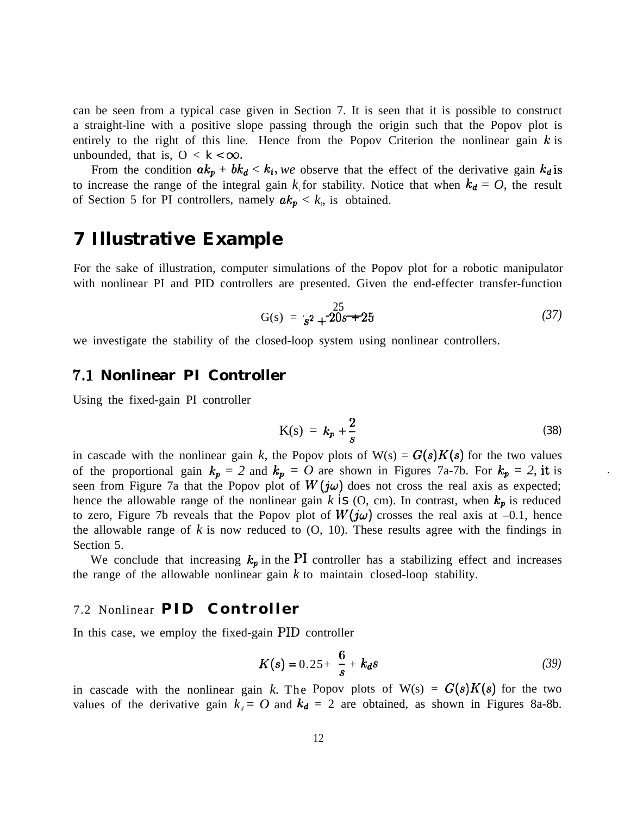can be seen from a typical case given in Section 7. It is seen that it is possible to construct a straight-line with a positive slope passing through the origin such that the Popov plot is entirely to the right of this line. Hence from the Popov Criterion the nonlinear gain  $k$  is unbounded, that is,  $0 < k < \infty$ .

From the condition  $ak_p + bk_d < k_i$ , we observe that the effect of the derivative gain  $k_d$  is to increase the range of the integral gain  $k_i$  for stability. Notice that when  $k_d = O$ , the result of Section 5 for PI controllers, namely  $ak_p < k_e$ , is obtained.

# **7 Illustrative Example**

For the sake of illustration, computer simulations of the Popov plot for a robotic manipulator with nonlinear PI and PID controllers are presented. Given the end-effecter transfer-function

$$
G(s) = \frac{25}{s^2 + 20s + 25} \tag{37}
$$

we investigate the stability of the closed-loop system using nonlinear controllers.

#### **7.1 Nonlinear PI Controller**

Using the fixed-gain PI controller

$$
K(s) = k_p + \frac{2}{s} \tag{38}
$$

in cascade with the nonlinear gain k, the Popov plots of  $W(s) = G(s)K(s)$  for the two values of the proportional gain  $k_p = 2$  and  $k_p = O$  are shown in Figures 7a-7b. For  $k_p = 2$ , it is seen from Figure 7a that the Popov plot of  $W(j\omega)$  does not cross the real axis as expected; hence the allowable range of the nonlinear gain  $k$  is  $(0, cm)$ . In contrast, when  $k_p$  is reduced to zero, Figure 7b reveals that the Popov plot of  $W(j\omega)$  crosses the real axis at -0.1, hence the allowable range of  $k$  is now reduced to  $(0, 10)$ . These results agree with the findings in Section 5.

We conclude that increasing  $k_p$  in the PI controller has a stabilizing effect and increases the range of the allowable nonlinear gain  $k$  to maintain closed-loop stability.

### 7.2 Nonlinear **PID Controller**

In this case, we employ the fixed-gain PID controller

$$
K(s) = 0.25 + \frac{6}{s} + k_d s \tag{39}
$$

in cascade with the nonlinear gain k. The Popov plots of  $W(s) = G(s)K(s)$  for the two values of the derivative gain  $k_d = O$  and  $k_d = 2$  are obtained, as shown in Figures 8a-8b.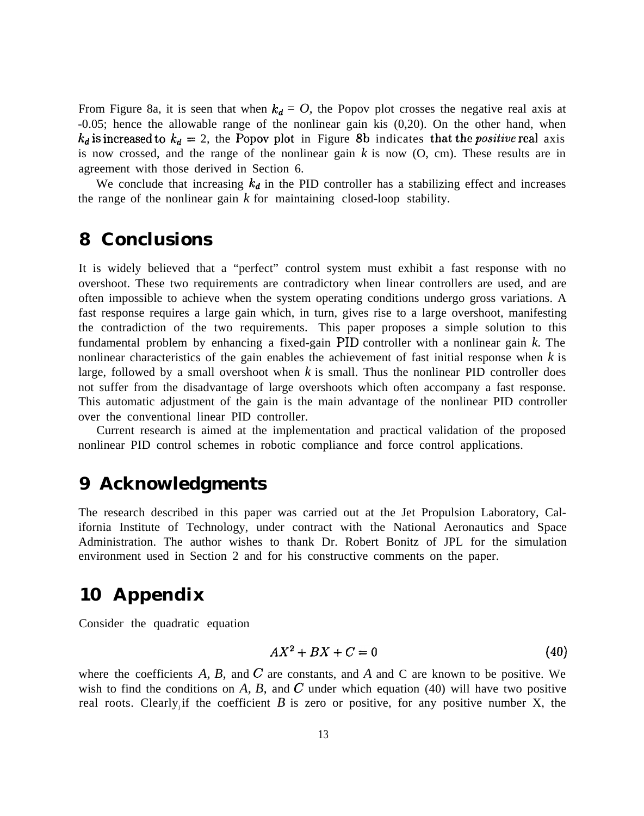From Figure 8a, it is seen that when  $k_d = O$ , the Popov plot crosses the negative real axis at -0.05; hence the allowable range of the nonlinear gain kis (0,20). On the other hand, when  $k_d$  is increased to  $k_d = 2$ , the Popov plot in Figure 8b indicates that the *positive* real axis is now crossed, and the range of the nonlinear gain *k* is now (O, cm). These results are in agreement with those derived in Section 6.

We conclude that increasing  $k_d$  in the PID controller has a stabilizing effect and increases the range of the nonlinear gain *k* for maintaining closed-loop stability.

# **8 Conclusions**

It is widely believed that a "perfect" control system must exhibit a fast response with no overshoot. These two requirements are contradictory when linear controllers are used, and are often impossible to achieve when the system operating conditions undergo gross variations. A fast response requires a large gain which, in turn, gives rise to a large overshoot, manifesting the contradiction of the two requirements. This paper proposes a simple solution to this fundamental problem by enhancing a fixed-gain PID controller with a nonlinear gain *k.* The nonlinear characteristics of the gain enables the achievement of fast initial response when *k* is large, followed by a small overshoot when *k* is small. Thus the nonlinear PID controller does not suffer from the disadvantage of large overshoots which often accompany a fast response. This automatic adjustment of the gain is the main advantage of the nonlinear PID controller over the conventional linear PID controller.

Current research is aimed at the implementation and practical validation of the proposed nonlinear PID control schemes in robotic compliance and force control applications.

# **9 Acknowledgments**

The research described in this paper was carried out at the Jet Propulsion Laboratory, California Institute of Technology, under contract with the National Aeronautics and Space Administration. The author wishes to thank Dr. Robert Bonitz of JPL for the simulation environment used in Section 2 and for his constructive comments on the paper.

# **10 Appendix**

Consider the quadratic equation

$$
AX^2 + BX + C = 0 \tag{40}
$$

where the coefficients *A, B,* and C are constants, and *A* and C are known to be positive. We wish to find the conditions on  $A$ ,  $B$ , and  $C$  under which equation (40) will have two positive real roots. Clearly if the coefficient  $B$  is zero or positive, for any positive number  $X$ , the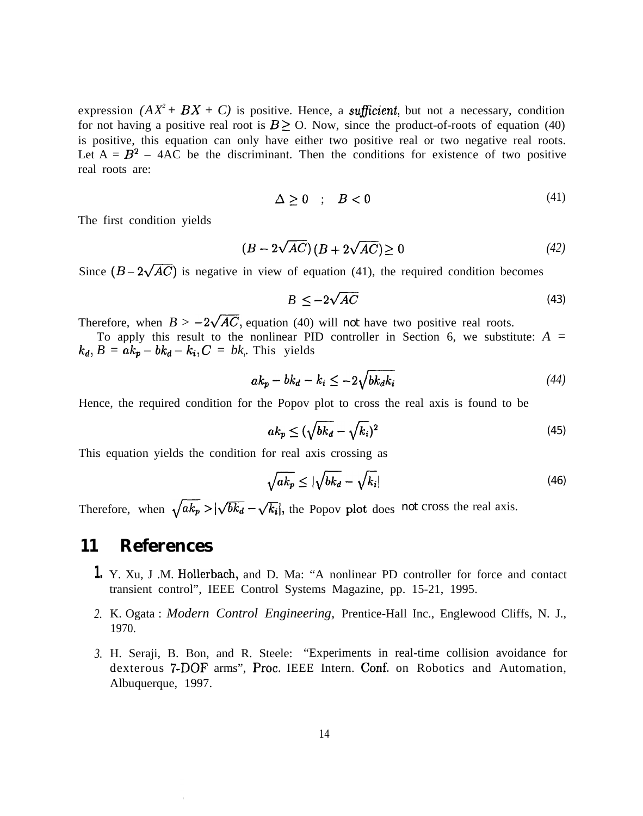expression  $(AX^2 + BX + C)$  is positive. Hence, a *sufficient*, but not a necessary, condition for not having a positive real root is  $B \ge 0$ . Now, since the product-of-roots of equation (40) is positive, this equation can only have either two positive real or two negative real roots. Let  $A = B<sup>2</sup> - 4AC$  be the discriminant. Then the conditions for existence of two positive real roots are:

$$
\Delta \ge 0 \quad ; \quad B < 0 \tag{41}
$$

The first condition yields

$$
(B - 2\sqrt{AC})(B + 2\sqrt{AC}) \ge 0
$$
\n<sup>(42)</sup>

Since  $(B - 2\sqrt{AC})$  is negative in view of equation (41), the required condition becomes

$$
B \le -2\sqrt{AC} \tag{43}
$$

Therefore, when  $B > -2\sqrt{AC}$ , equation (40) will *not* have two positive real roots.

To apply this result to the nonlinear PID controller in Section 6, we substitute: *A =*  $k_d$ ,  $B = ak_p - bk_d - k_i$ ,  $C = bk_r$ . This yields

$$
ak_p - bk_d - k_i \le -2\sqrt{bk_dk_i} \tag{44}
$$

Hence, the required condition for the Popov plot to cross the real axis is found to be

$$
ak_p \le (\sqrt{bk_d} - \sqrt{k_i})^2 \tag{45}
$$

This equation yields the condition for real axis crossing as

$$
\sqrt{ak_p} \le |\sqrt{bk_d} - \sqrt{k_i}| \tag{46}
$$

Therefore, when  $\sqrt{ak_p} > |\sqrt{bk_d} - \sqrt{k_i}|$ , the Popov plot does *not* cross the real axis.

#### **11 References**

- **1.** Y. Xu, J .M. Hollerbach, and D. Ma: "A nonlinear PD controller for force and contact transient control", IEEE Control Systems Magazine, pp. 15-21, 1995.
- *2.* K. Ogata : *Modern Control Engineering,* Prentice-Hall Inc., Englewood Cliffs, N. J., 1970.
- *3.* H. Seraji, B. Bon, and R. Steele: "Experiments in real-time collision avoidance for dexterous 7-DOF arms", Proc. IEEE Intern. Conf. on Robotics and Automation, Albuquerque, 1997.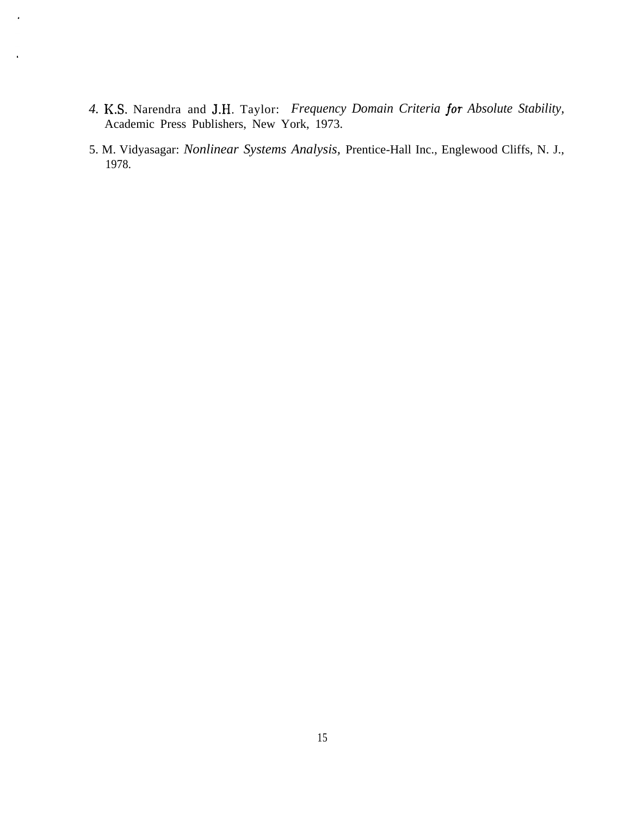*4.* K.S. Narendra and J.H. Taylor: *Frequency Domain Criteria jor Absolute Stability,* Academic Press Publishers, New York, 1973.

 $\ddot{\phantom{0}}$ 

5. M. Vidyasagar: *Nonlinear Systems Analysis,* Prentice-Hall Inc., Englewood Cliffs, N. J., 1978.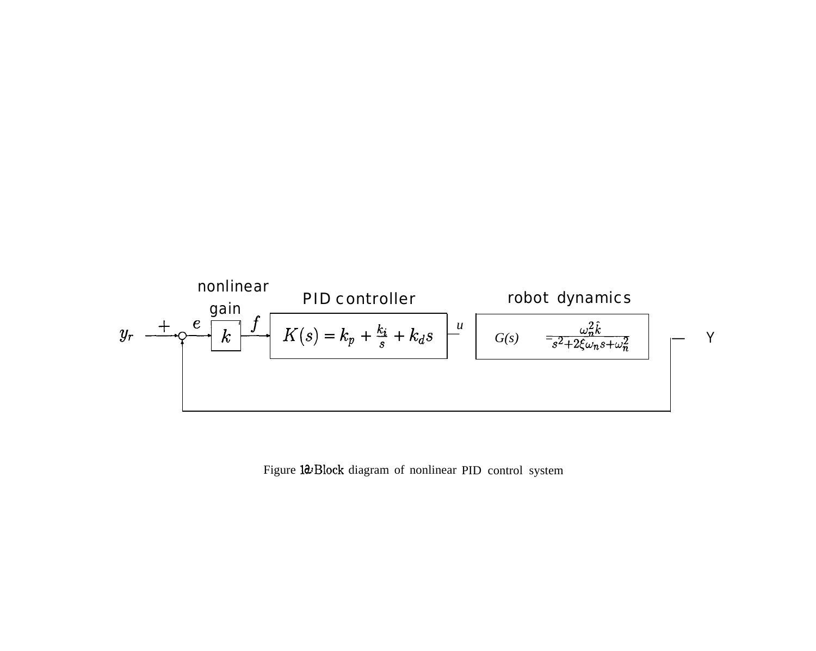

Figure 10: Block diagram of nonlinear PID control system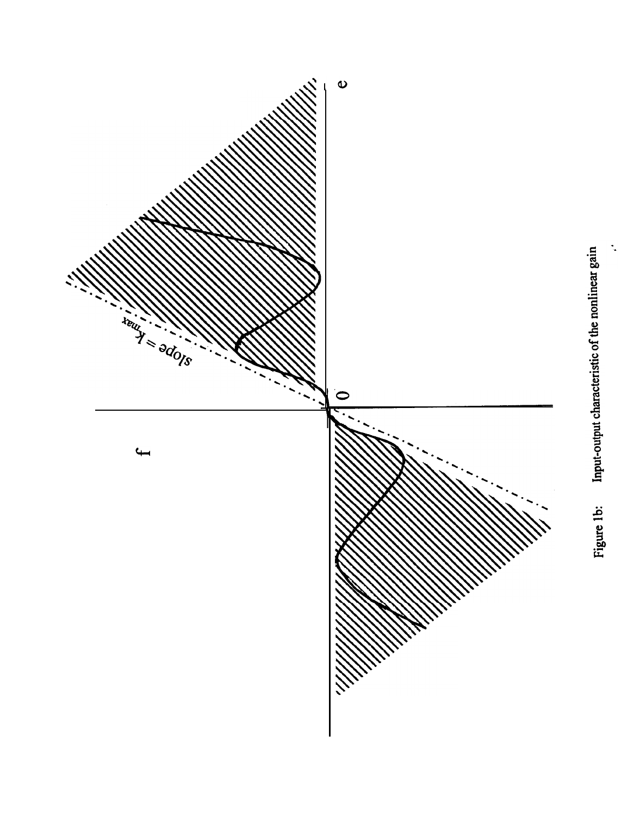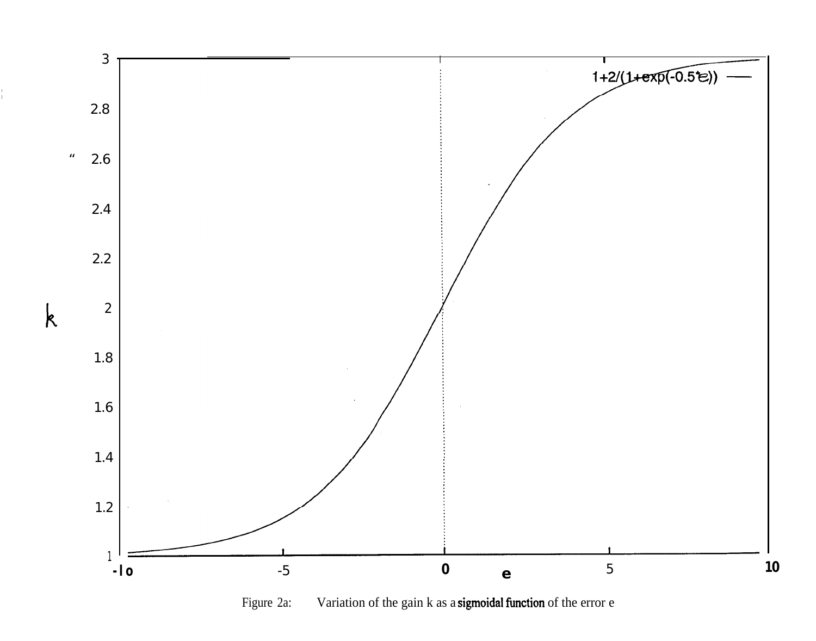

T.

Figure 2a: Variation of the gain k as a sigmoidal function of the error e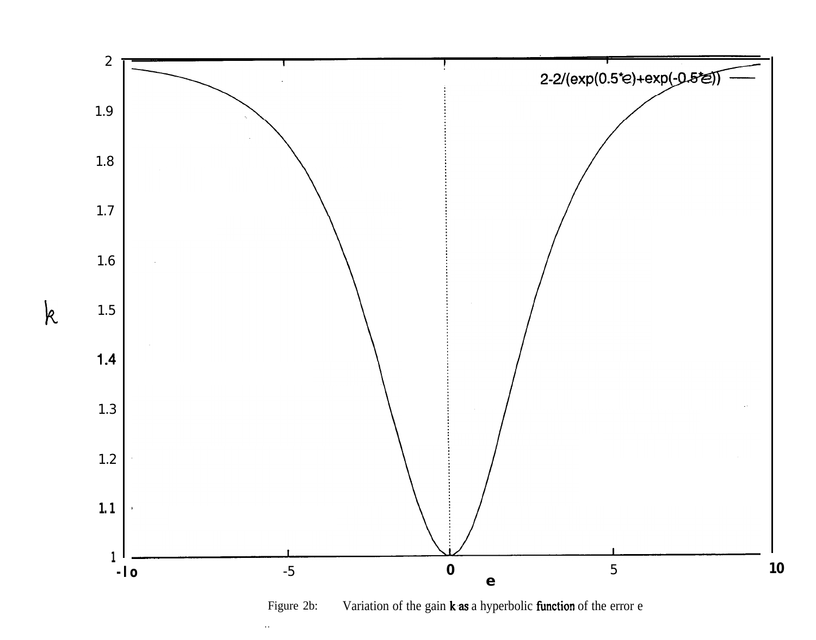

Variation of the gain k as a hyperbolic function of the error e Figure 2b:

 $\bar{\alpha}$ 

 $\mathsf{k}$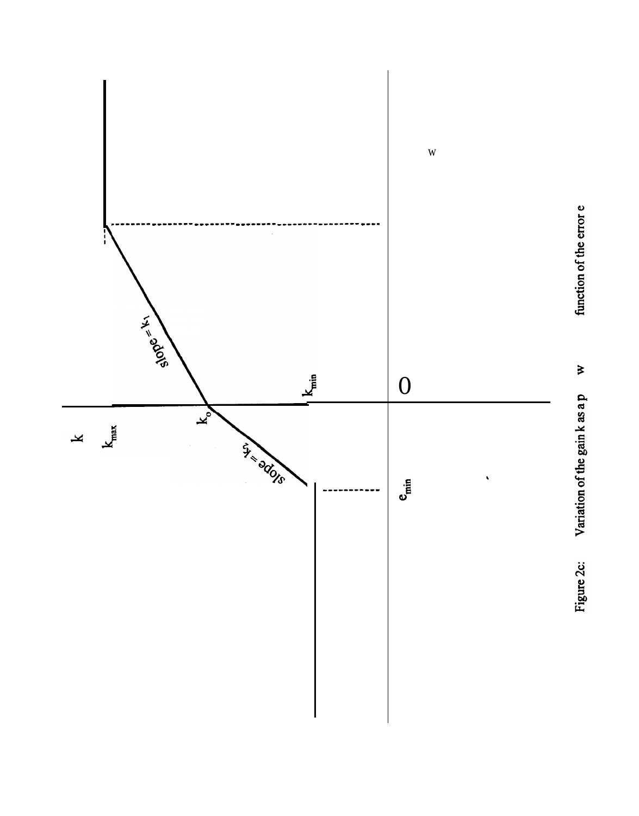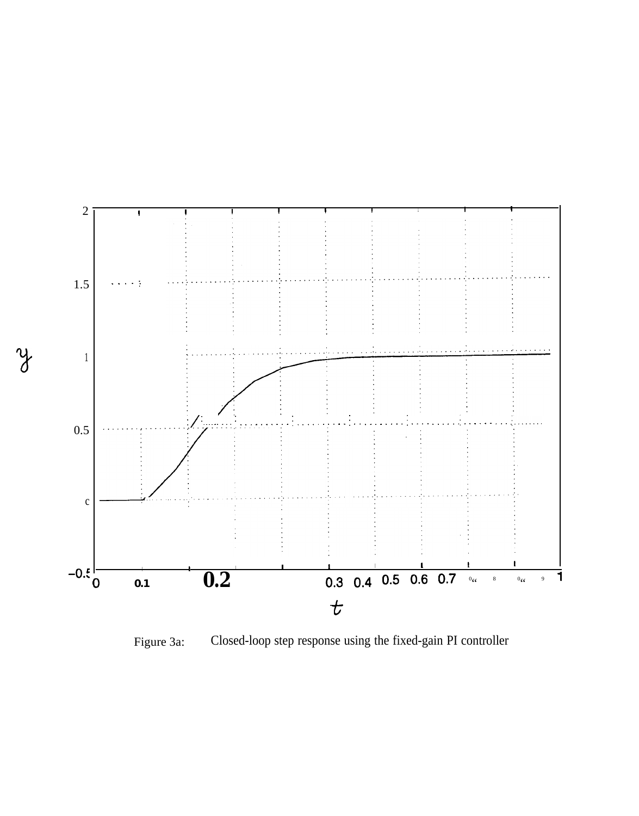

y

Closed-loop step response using the fixed-gain PI controller Figure 3a: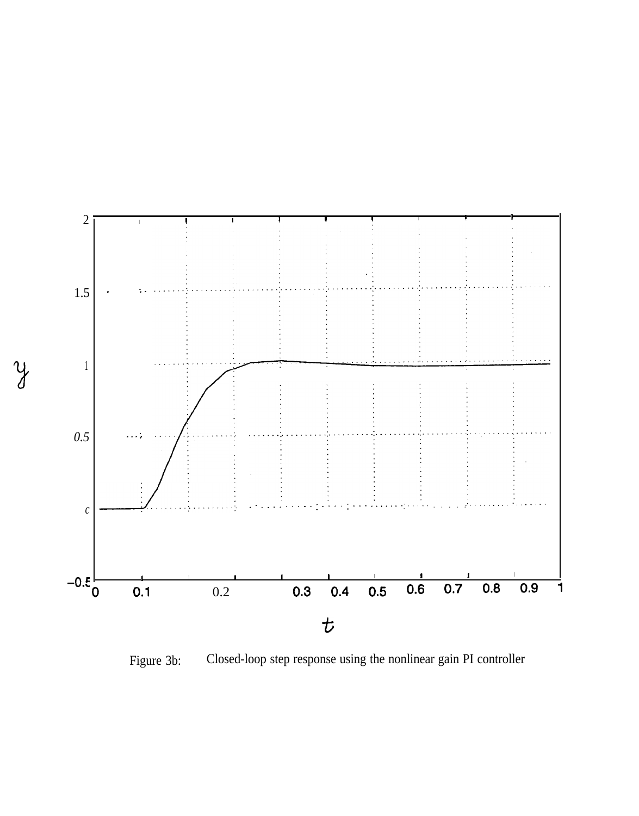

Closed-loop step response using the nonlinear gain PI controller Figure 3b:

 $\mathcal{Y}$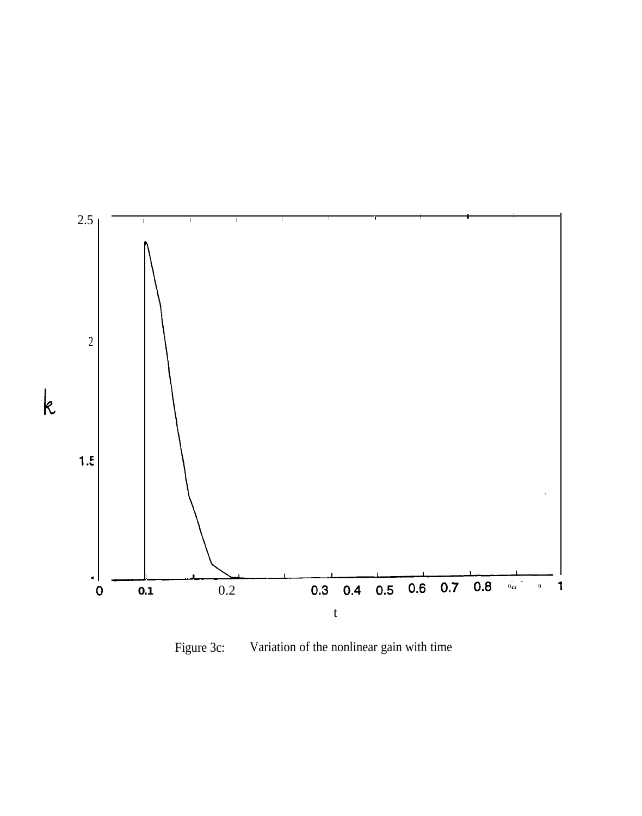

Figure 3c: Variation of the nonlinear gain with time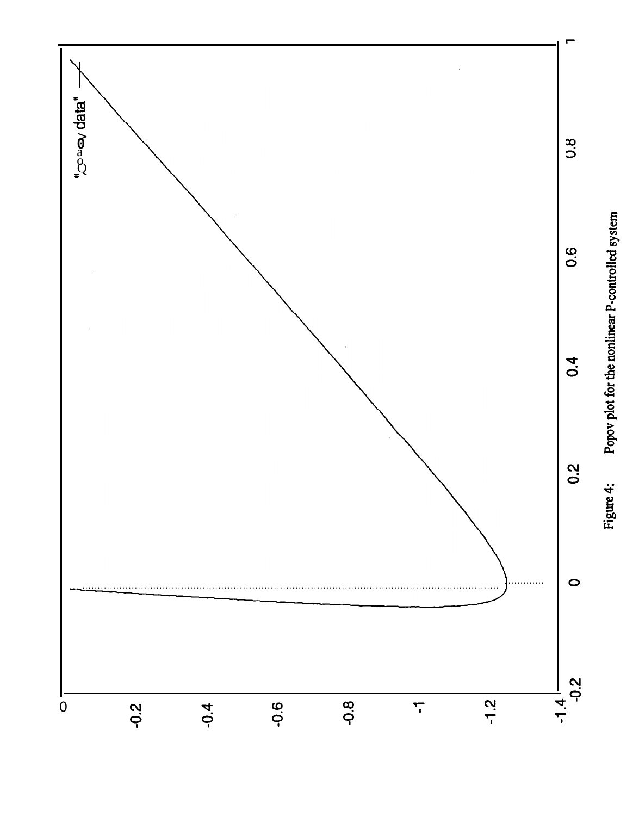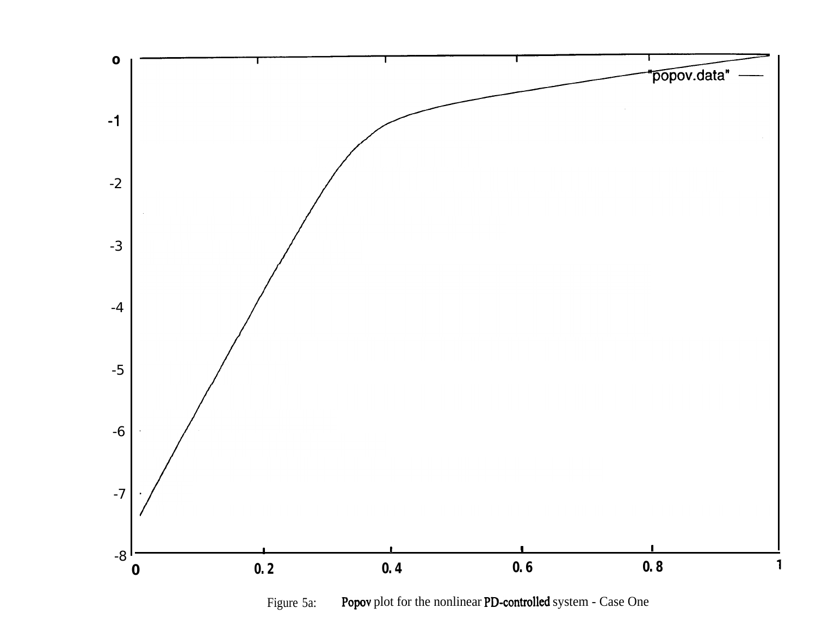

Popov plot for the nonlinear PD-controlled system - Case One Figure 5a: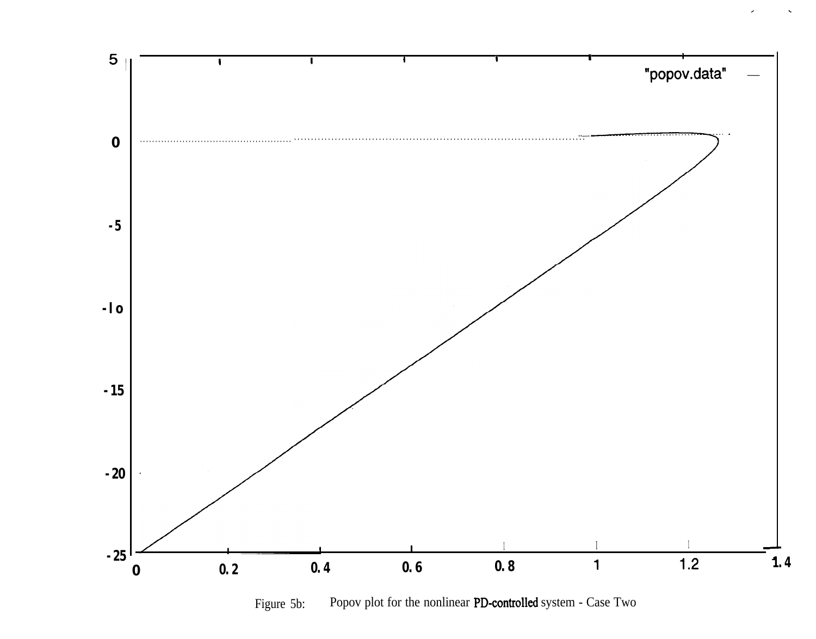

Popov plot for the nonlinear PD-controlled system - Case Two Figure 5b: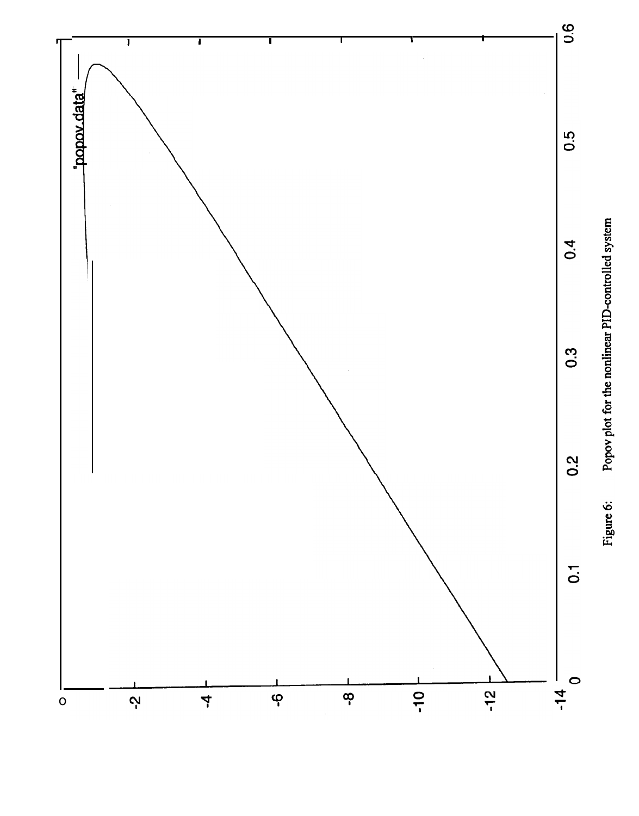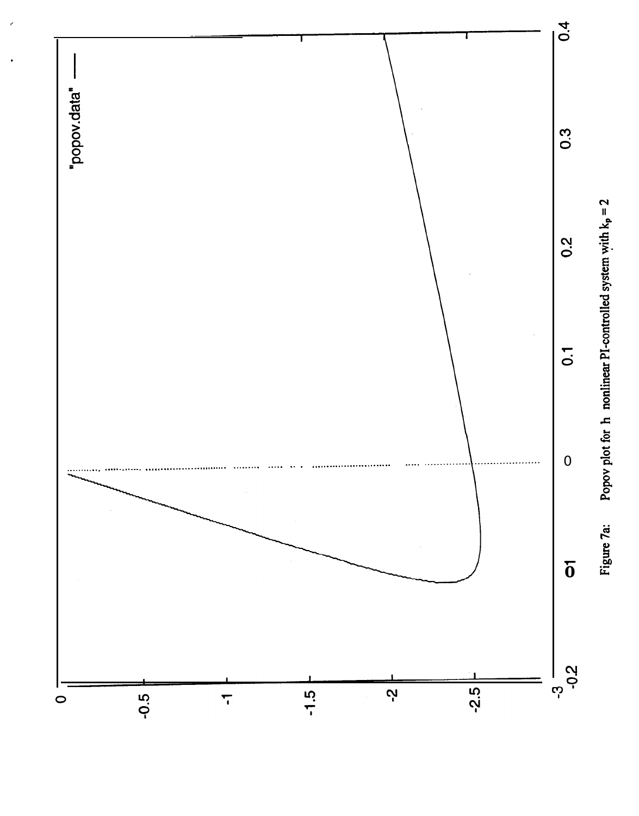

Figure 7a: Popov plot for h nonlinear PI-controlled system with  $k_p = 2$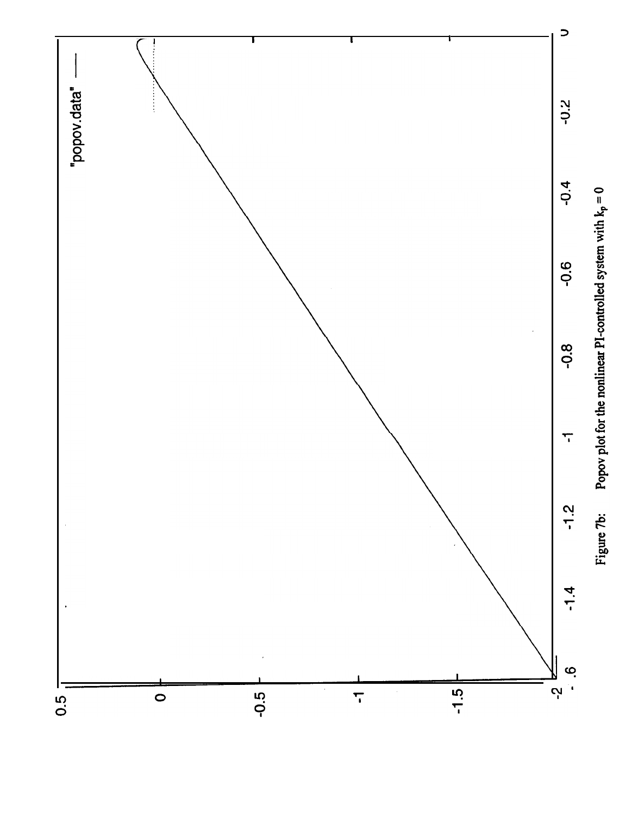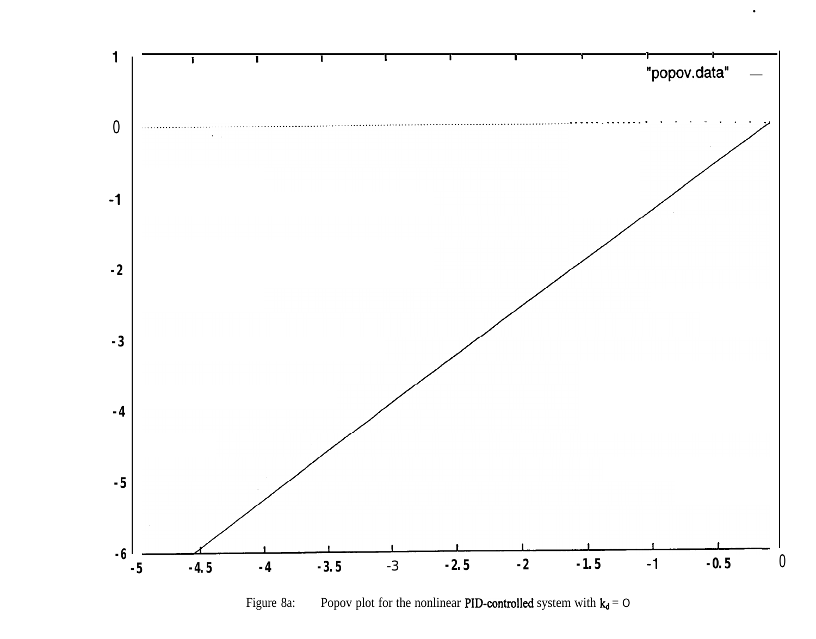

Popov plot for the nonlinear PID-controlled system with  $k_d = O$ Figure 8a: